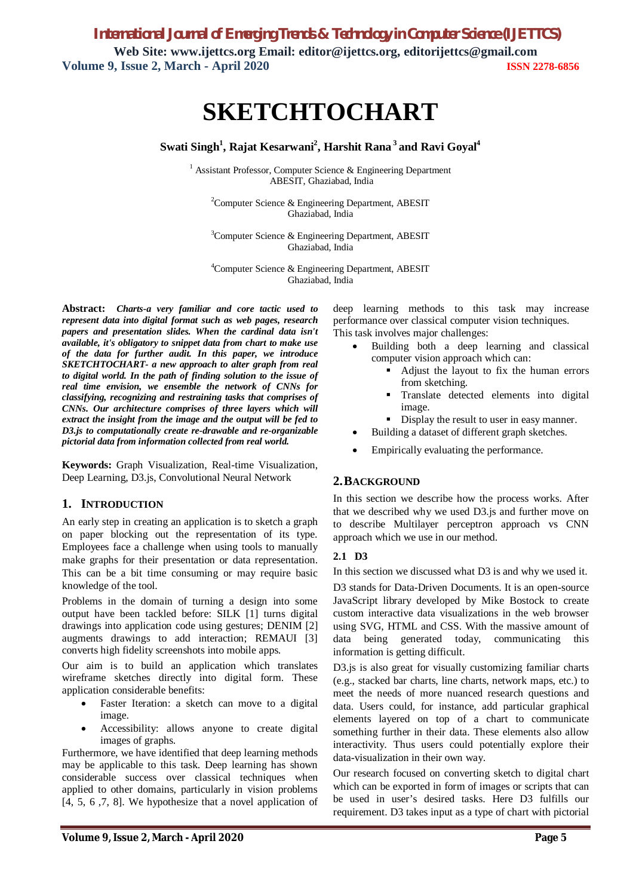*International Journal of Emerging Trends & Technology in Computer Science (IJETTCS)* **Web Site: www.ijettcs.org Email: editor@ijettcs.org, [editorijettcs@gmail.com](mailto:editorijettcs@gmail.com)  Volume 9, Issue 2, March - April 2020 ISSN 2278-6856**

# **SKETCHTOCHART**

### **Swati Singh<sup>1</sup> , Rajat Kesarwani<sup>2</sup> , Harshit Rana <sup>3</sup>and Ravi Goyal<sup>4</sup>**

<sup>1</sup> Assistant Professor, Computer Science & Engineering Department ABESIT, Ghaziabad, India

<sup>2</sup>Computer Science & Engineering Department, ABESIT Ghaziabad, India

<sup>3</sup>Computer Science & Engineering Department, ABESIT Ghaziabad, India

<sup>4</sup>Computer Science & Engineering Department, ABESIT Ghaziabad, India

**Abstract:** *Charts-a very familiar and core tactic used to represent data into digital format such as web pages, research papers and presentation slides. When the cardinal data isn't available, it's obligatory to snippet data from chart to make use of the data for further audit. In this paper, we introduce SKETCHTOCHART- a new approach to alter graph from real to digital world. In the path of finding solution to the issue of real time envision, we ensemble the network of CNNs for classifying, recognizing and restraining tasks that comprises of CNNs. Our architecture comprises of three layers which will extract the insight from the image and the output will be fed to D3.js to computationally create re-drawable and re-organizable pictorial data from information collected from real world.*

**Keywords:** Graph Visualization, Real-time Visualization, Deep Learning, D3.js, Convolutional Neural Network

### **1. INTRODUCTION**

An early step in creating an application is to sketch a graph on paper blocking out the representation of its type. Employees face a challenge when using tools to manually make graphs for their presentation or data representation. This can be a bit time consuming or may require basic knowledge of the tool.

Problems in the domain of turning a design into some output have been tackled before: SILK [1] turns digital drawings into application code using gestures; DENIM [2] augments drawings to add interaction; REMAUI [3] converts high fidelity screenshots into mobile apps.

Our aim is to build an application which translates wireframe sketches directly into digital form. These application considerable benefits:

- Faster Iteration: a sketch can move to a digital image.
- Accessibility: allows anyone to create digital images of graphs.

Furthermore, we have identified that deep learning methods may be applicable to this task. Deep learning has shown considerable success over classical techniques when applied to other domains, particularly in vision problems [4, 5, 6 ,7, 8]. We hypothesize that a novel application of deep learning methods to this task may increase performance over classical computer vision techniques. This task involves major challenges:

- Building both a deep learning and classical computer vision approach which can:
	- Adjust the layout to fix the human errors from sketching.
	- Translate detected elements into digital image.
	- Display the result to user in easy manner.
	- Building a dataset of different graph sketches.
- Empirically evaluating the performance.

### **2.BACKGROUND**

In this section we describe how the process works. After that we described why we used D3.js and further move on to describe Multilayer perceptron approach vs CNN approach which we use in our method.

### **2.1 D3**

In this section we discussed what D3 is and why we used it.

D3 stands for Data-Driven Documents. It is an open-source JavaScript library developed by Mike Bostock to create custom interactive data visualizations in the web browser using SVG, HTML and CSS. With the massive amount of data being generated today, communicating this information is getting difficult.

D3.js is also great for visually customizing familiar charts (e.g., stacked bar charts, line charts, network maps, etc.) to meet the needs of more nuanced research questions and data. Users could, for instance, add particular graphical elements layered on top of a chart to communicate something further in their data. These elements also allow interactivity. Thus users could potentially explore their data-visualization in their own way.

Our research focused on converting sketch to digital chart which can be exported in form of images or scripts that can be used in user's desired tasks. Here D3 fulfills our requirement. D3 takes input as a type of chart with pictorial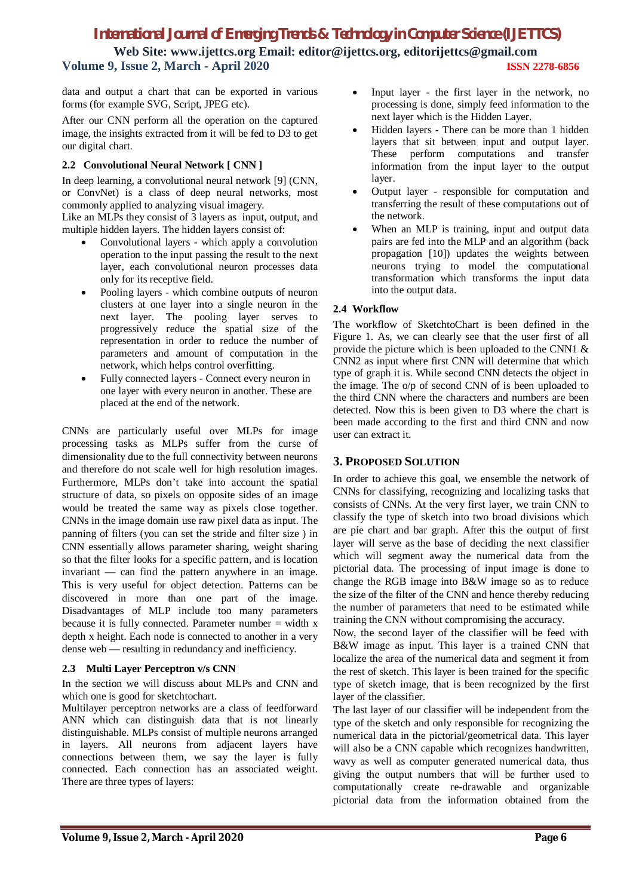## *International Journal of Emerging Trends & Technology in Computer Science (IJETTCS)*

**Web Site: www.ijettcs.org Email: editor@ijettcs.org, [editorijettcs@gmail.com](mailto:editorijettcs@gmail.com)  Volume 9, Issue 2, March - April 2020 ISSN 2278-6856**

data and output a chart that can be exported in various forms (for example SVG, Script, JPEG etc).

After our CNN perform all the operation on the captured image, the insights extracted from it will be fed to D3 to get our digital chart.

### **2.2 Convolutional Neural Network [ CNN ]**

In deep learning, a convolutional neural network [9] (CNN, or ConvNet) is a class of deep neural networks, most commonly applied to analyzing visual imagery.

Like an MLPs they consist of 3 layers as input, output, and multiple hidden layers. The hidden layers consist of:

- Convolutional layers which apply a convolution operation to the input passing the result to the next layer, each convolutional neuron processes data only for its receptive field.
- Pooling layers which combine outputs of neuron clusters at one layer into a single neuron in the next layer. The pooling layer serves to progressively reduce the spatial size of the representation in order to reduce the number of parameters and amount of computation in the network, which helps control overfitting.
- Fully connected layers Connect every neuron in one layer with every neuron in another. These are placed at the end of the network.

CNNs are particularly useful over MLPs for image processing tasks as MLPs suffer from the curse of dimensionality due to the full connectivity between neurons and therefore do not scale well for high resolution images. Furthermore, MLPs don't take into account the spatial structure of data, so pixels on opposite sides of an image would be treated the same way as pixels close together. CNNs in the image domain use raw pixel data as input. The panning of filters (you can set the stride and filter size ) in CNN essentially allows parameter sharing, weight sharing so that the filter looks for a specific pattern, and is location invariant — can find the pattern anywhere in an image. This is very useful for object detection. Patterns can be discovered in more than one part of the image. Disadvantages of MLP include too many parameters because it is fully connected. Parameter number  $=$  width x depth x height. Each node is connected to another in a very dense web — resulting in redundancy and inefficiency.

### **2.3 Multi Layer Perceptron v/s CNN**

In the section we will discuss about MLPs and CNN and which one is good for sketchtochart.

Multilayer perceptron networks are a class of feedforward ANN which can distinguish data that is not linearly distinguishable. MLPs consist of multiple neurons arranged in layers. All neurons from adjacent layers have connections between them, we say the layer is fully connected. Each connection has an associated weight. There are three types of layers:

- Input layer the first layer in the network, no processing is done, simply feed information to the next layer which is the Hidden Layer.
- Hidden layers There can be more than 1 hidden layers that sit between input and output layer. These perform computations and transfer information from the input layer to the output layer.
- Output layer responsible for computation and transferring the result of these computations out of the network.
- When an MLP is training, input and output data pairs are fed into the MLP and an algorithm (back propagation [10]) updates the weights between neurons trying to model the computational transformation which transforms the input data into the output data.

### **2.4 Workflow**

The workflow of SketchtoChart is been defined in the Figure 1. As, we can clearly see that the user first of all provide the picture which is been uploaded to the CNN1 & CNN2 as input where first CNN will determine that which type of graph it is. While second CNN detects the object in the image. The o/p of second CNN of is been uploaded to the third CNN where the characters and numbers are been detected. Now this is been given to D3 where the chart is been made according to the first and third CNN and now user can extract it.

### **3. PROPOSED SOLUTION**

In order to achieve this goal, we ensemble the network of CNNs for classifying, recognizing and localizing tasks that consists of CNNs. At the very first layer, we train CNN to classify the type of sketch into two broad divisions which are pie chart and bar graph. After this the output of first layer will serve as the base of deciding the next classifier which will segment away the numerical data from the pictorial data. The processing of input image is done to change the RGB image into B&W image so as to reduce the size of the filter of the CNN and hence thereby reducing the number of parameters that need to be estimated while training the CNN without compromising the accuracy.

Now, the second layer of the classifier will be feed with B&W image as input. This layer is a trained CNN that localize the area of the numerical data and segment it from the rest of sketch. This layer is been trained for the specific type of sketch image, that is been recognized by the first layer of the classifier.

The last layer of our classifier will be independent from the type of the sketch and only responsible for recognizing the numerical data in the pictorial/geometrical data. This layer will also be a CNN capable which recognizes handwritten, wavy as well as computer generated numerical data, thus giving the output numbers that will be further used to computationally create re-drawable and organizable pictorial data from the information obtained from the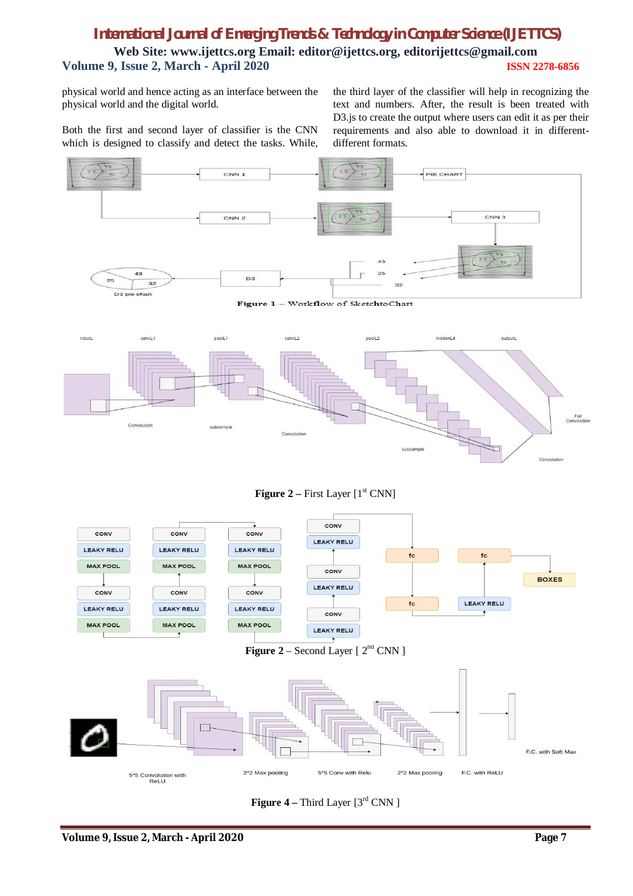# *International Journal of Emerging Trends & Technology in Computer Science (IJETTCS)* **Web Site: www.ijettcs.org Email: editor@ijettcs.org, [editorijettcs@gmail.com](mailto:editorijettcs@gmail.com)  Volume 9, Issue 2, March - April 2020 ISSN 2278-6856**

physical world and hence acting as an interface between the physical world and the digital world.

the third layer of the classifier will help in recognizing the text and numbers. After, the result is been treated with D3.js to create the output where users can edit it as per their requirements and also able to download it in differentdifferent formats.

Both the first and second layer of classifier is the CNN which is designed to classify and detect the tasks. While,



Figure 1 - Workflow of SketchtoChart



**Figure 2** – First Layer [1<sup>st</sup> CNN]



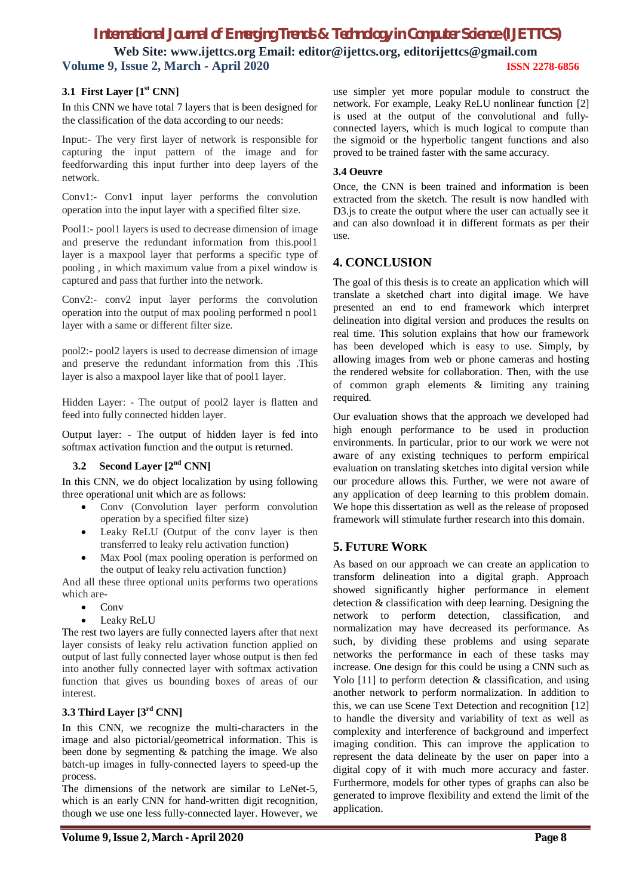# *International Journal of Emerging Trends & Technology in Computer Science (IJETTCS)*

**Web Site: www.ijettcs.org Email: editor@ijettcs.org, [editorijettcs@gmail.com](mailto:editorijettcs@gmail.com)  Volume 9, Issue 2, March - April 2020 ISSN 2278-6856**

### **3.1 First Layer [1st CNN]**

In this CNN we have total 7 layers that is been designed for the classification of the data according to our needs:

Input:- The very first layer of network is responsible for capturing the input pattern of the image and for feedforwarding this input further into deep layers of the network.

Conv1:- Conv1 input layer performs the convolution operation into the input layer with a specified filter size.

Pool1:- pool1 layers is used to decrease dimension of image and preserve the redundant information from this.pool1 layer is a maxpool layer that performs a specific type of pooling , in which maximum value from a pixel window is captured and pass that further into the network.

Conv2:- conv2 input layer performs the convolution operation into the output of max pooling performed n pool1 layer with a same or different filter size.

pool2:- pool2 layers is used to decrease dimension of image and preserve the redundant information from this .This layer is also a maxpool layer like that of pool1 layer.

Hidden Layer: - The output of pool2 layer is flatten and feed into fully connected hidden layer.

Output layer: - The output of hidden layer is fed into softmax activation function and the output is returned.

### **3.2 Second Layer [2nd CNN]**

In this CNN, we do object localization by using following three operational unit which are as follows:

- Conv (Convolution layer perform convolution operation by a specified filter size)
- Leaky ReLU (Output of the conv layer is then transferred to leaky relu activation function)
- Max Pool (max pooling operation is performed on the output of leaky relu activation function)

And all these three optional units performs two operations which are-

- Conv
- Leaky ReLU

The rest two layers are fully connected layers after that next layer consists of leaky relu activation function applied on output of last fully connected layer whose output is then fed into another fully connected layer with softmax activation function that gives us bounding boxes of areas of our interest.

### **3.3 Third Layer [3rd CNN]**

In this CNN, we recognize the multi-characters in the image and also pictorial/geometrical information. This is been done by segmenting & patching the image. We also batch-up images in fully-connected layers to speed-up the process.

The dimensions of the network are similar to LeNet-5, which is an early CNN for hand-written digit recognition, though we use one less fully-connected layer. However, we

**Volume 9, Issue 2, March - April 2020 Page 8**

use simpler yet more popular module to construct the network. For example, Leaky ReLU nonlinear function [2] is used at the output of the convolutional and fullyconnected layers, which is much logical to compute than the sigmoid or the hyperbolic tangent functions and also proved to be trained faster with the same accuracy.

#### **3.4 Oeuvre**

Once, the CNN is been trained and information is been extracted from the sketch. The result is now handled with D3. is to create the output where the user can actually see it and can also download it in different formats as per their use.

### **4. CONCLUSION**

The goal of this thesis is to create an application which will translate a sketched chart into digital image. We have presented an end to end framework which interpret delineation into digital version and produces the results on real time. This solution explains that how our framework has been developed which is easy to use. Simply, by allowing images from web or phone cameras and hosting the rendered website for collaboration. Then, with the use of common graph elements & limiting any training required.

Our evaluation shows that the approach we developed had high enough performance to be used in production environments. In particular, prior to our work we were not aware of any existing techniques to perform empirical evaluation on translating sketches into digital version while our procedure allows this. Further, we were not aware of any application of deep learning to this problem domain. We hope this dissertation as well as the release of proposed framework will stimulate further research into this domain.

### **5. FUTURE WORK**

As based on our approach we can create an application to transform delineation into a digital graph. Approach showed significantly higher performance in element detection & classification with deep learning. Designing the network to perform detection, classification, and normalization may have decreased its performance. As such, by dividing these problems and using separate networks the performance in each of these tasks may increase. One design for this could be using a CNN such as Yolo [11] to perform detection & classification, and using another network to perform normalization. In addition to this, we can use Scene Text Detection and recognition [12] to handle the diversity and variability of text as well as complexity and interference of background and imperfect imaging condition. This can improve the application to represent the data delineate by the user on paper into a digital copy of it with much more accuracy and faster. Furthermore, models for other types of graphs can also be generated to improve flexibility and extend the limit of the application.